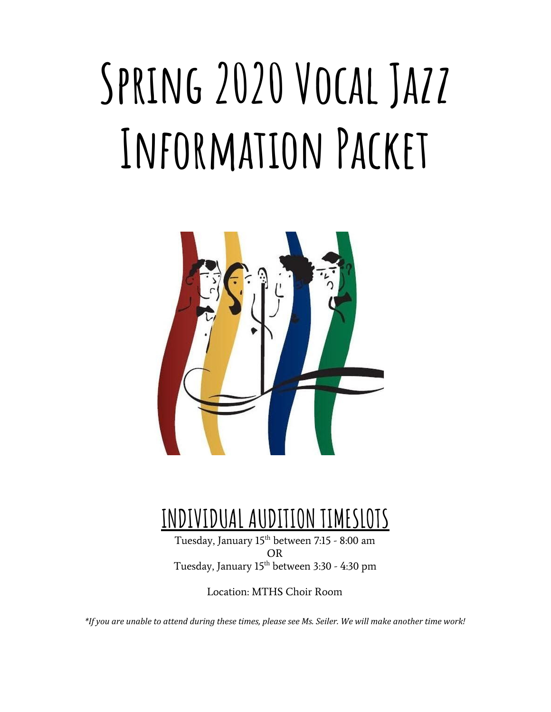# **Spring 2020 Vocal Jazz Information Packet**



### **INDIVIDUAL AUDITION TIMESLOTS**

Tuesday, January 15 th between 7:15 - 8:00 am OR Tuesday, January 15 th between 3:30 - 4:30 pm

Location: MTHS Choir Room

\*If you are unable to attend during these times, please see Ms. Seiler. We will make another time work!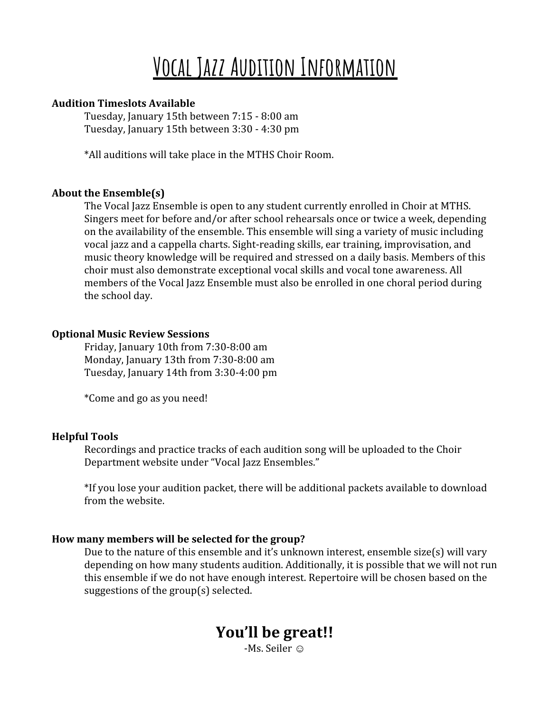### **Vocal Jazz Audition Information**

#### **Audition Timeslots Available**

Tuesday, January 15th between 7:15 - 8:00 am Tuesday, January 15th between 3:30 - 4:30 pm

\*All auditions will take place in the MTHS Choir Room.

#### **About the Ensemble(s)**

The Vocal Jazz Ensemble is open to any student currently enrolled in Choir at MTHS. Singers meet for before and/or after school rehearsals once or twice a week, depending on the availability of the ensemble. This ensemble will sing a variety of music including vocal jazz and a cappella charts. Sight-reading skills, ear training, improvisation, and music theory knowledge will be required and stressed on a daily basis. Members of this choir must also demonstrate exceptional vocal skills and vocal tone awareness. All members of the Vocal Jazz Ensemble must also be enrolled in one choral period during the school day.

#### **Optional Music Review Sessions**

Friday, January 10th from 7:30-8:00 am Monday, January 13th from 7:30-8:00 am Tuesday, January 14th from 3:30-4:00 pm

\*Come and go as you need!

#### **Helpful Tools**

Recordings and practice tracks of each audition song will be uploaded to the Choir Department website under "Vocal Jazz Ensembles."

\*If you lose your audition packet, there will be additional packets available to download from the website.

#### **How many members will be selected for the group?**

Due to the nature of this ensemble and it's unknown interest, ensemble size(s) will vary depending on how many students audition. Additionally, it is possible that we will not run this ensemble if we do not have enough interest. Repertoire will be chosen based on the suggestions of the group(s) selected.

### **You'll be great!!**

-Ms. Seiler ☺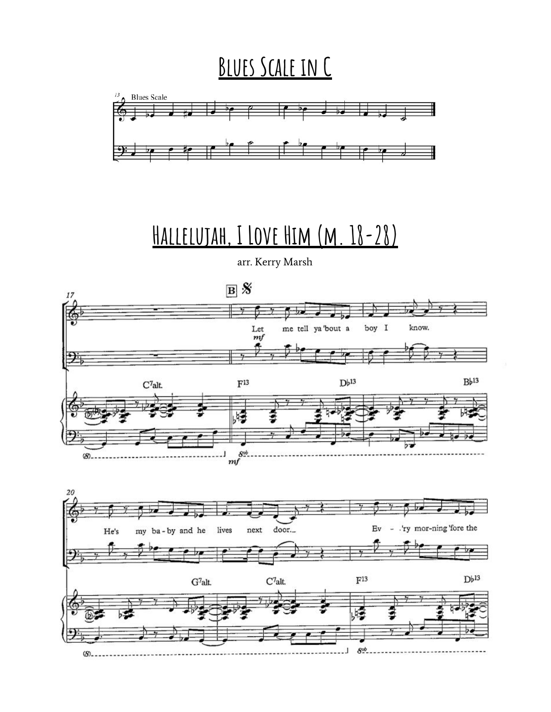### **Blues Scale in C**



## **Hallelujah, I Love Him (m. 18-28)**

arr. Kerry Marsh



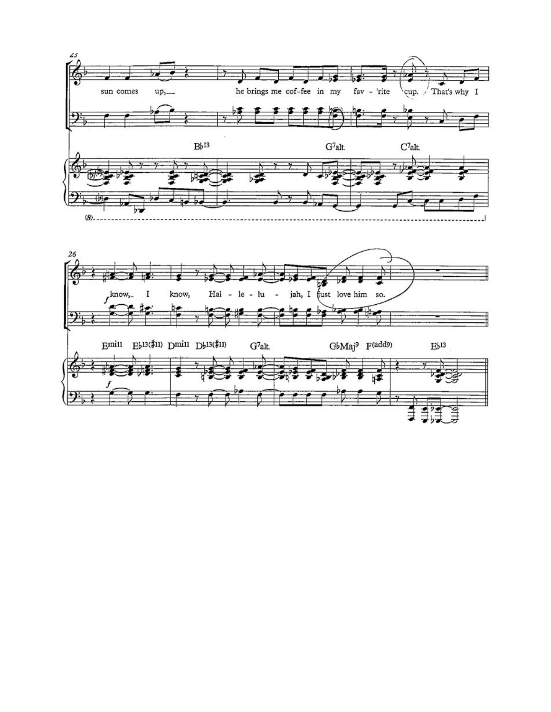

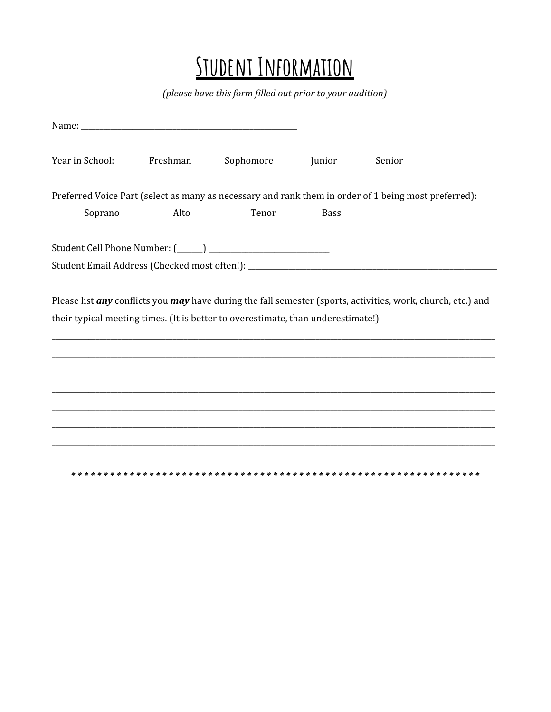### **STUDENT INFORMATION**

(please have this form filled out prior to your audition)

| Year in School: | Freshman | Sophomore                                                                        | Junior      | Senior                                                                                                                     |  |
|-----------------|----------|----------------------------------------------------------------------------------|-------------|----------------------------------------------------------------------------------------------------------------------------|--|
|                 |          |                                                                                  |             | Preferred Voice Part (select as many as necessary and rank them in order of 1 being most preferred):                       |  |
| Soprano         | Alto     | Tenor                                                                            | <b>Bass</b> |                                                                                                                            |  |
|                 |          |                                                                                  |             |                                                                                                                            |  |
|                 |          |                                                                                  |             |                                                                                                                            |  |
|                 |          | their typical meeting times. (It is better to overestimate, than underestimate!) |             | Please list <i>any</i> conflicts you <i>may</i> have during the fall semester (sports, activities, work, church, etc.) and |  |
|                 |          |                                                                                  |             |                                                                                                                            |  |
|                 |          |                                                                                  |             |                                                                                                                            |  |
|                 |          |                                                                                  |             |                                                                                                                            |  |
|                 |          |                                                                                  |             |                                                                                                                            |  |